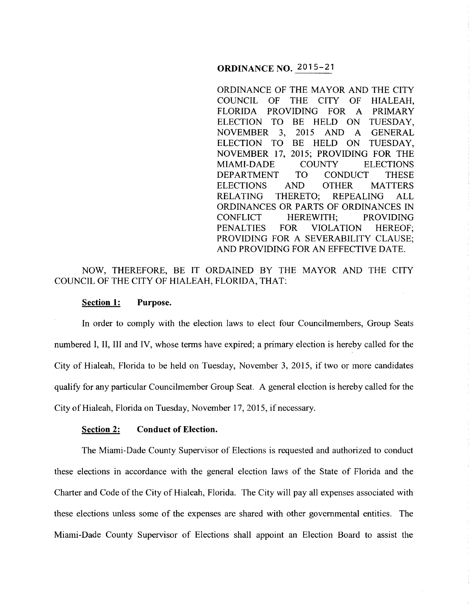### **ORDINANCE NO.** 2015-21

ORDINANCE OF THE MAYOR AND THE CITY COUNCIL OF THE CITY OF HIALEAH, FLORIDA PROVIDING FOR A PRIMARY ELECTION TO BE HELD ON TUESDAY, NOVEMBER 3, 2015 AND A GENERAL ELECTION TO BE HELD ON TUESDAY, NOVEMBER 17, 2015; PROVIDING FOR THE MIAMI-DADE COUNTY ELECTIONS DEPARTMENT TO CONDUCT THESE ELECTIONS AND OTHER MATTERS<br>RELATING THERETO: REPEALING ALL THERETO: REPEALING ALL ORDINANCES OR PARTS OF ORDINANCES IN CONFLICT HEREWITH: PROVIDING HEREWITH: PROVIDING PENALTIES FOR VIOLATION HEREOF; PROVIDING FOR A SEVERABILITY CLAUSE; AND PROVIDING FOR AN EFFECTIVE DATE.

# NOW, THEREFORE, BE IT ORDAINED BY THE MAYOR AND THE CITY COUNCIL OF THE CITY OF HIALEAH, FLORIDA, THAT:

#### **Section 1: Purpose.**

In order to comply with the election laws to elect four Councilmembers, Group Seats numbered I, II, III and IV, whose terms have expired; a primary election is hereby called for the City of Hialeah, Florida to be held on Tuesday, November 3, 2015, if two or more candidates qualify for any particular Councilmember Group Seat. A general election is hereby called for the City of Hialeah, Florida on Tuesday, November 17, 2015, if necessary.

#### **Section 2: Conduct of Election.**

The Miami-Dade County Supervisor of Elections is requested and authorized to conduct these elections in accordance with the general election laws of the State of Florida and the Charter and Code of the City of Hialeah, Florida. The City will pay all expenses associated with these elections unless some of the expenses are shared with other governmental entities. The Miami-Dade County Supervisor of Elections shall appoint an Election Board to assist the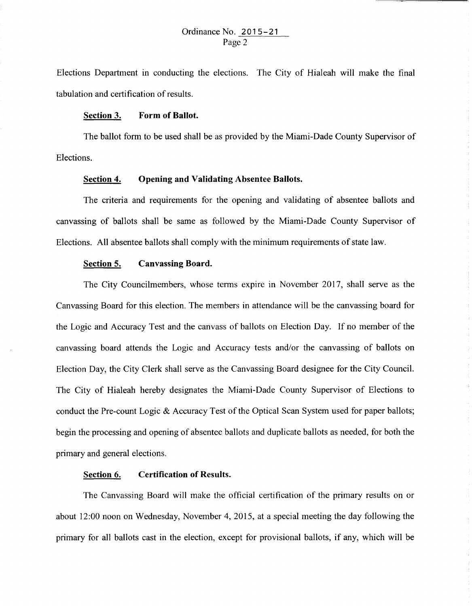Elections Department in conducting the elections. The City of Hialeah will make the final tabulation and certification of results.

#### **Section 3. Form of Ballot.**

The ballot fonn to be used shall be as provided by the Miami-Dade County Supervisor of Elections.

#### **Section 4. Opening and Validating Absentee Ballots.**

The criteria and requirements for the opening and validating of absentee ballots and canvassing of ballots shall be same as followed by the Miami-Dade County Supervisor of Elections. All absentee ballots shall comply with the minimum requirements of state law.

## **Section 5. Canvassing Board.**

The City Councilmembers, whose terms expire in November 2017, shall serve as the Canvassing Board for this election. The members in attendance will be the canvassing board for the Logic and Accuracy Test and the canvass of ballots on Election Day. If no member of the canvassing board attends the Logic and Accuracy tests and/or the canvassing of ballots on Election Day, the City Clerk shall serve as the Canvassing Board designee for the City Council. The City of Hialeah hereby designates the Miami-Dade County Supervisor of Elections to conduct the Pre-count Logic & Accuracy Test of the Optical Scan System used for paper ballots; begin the processing and opening of absentee ballots and duplicate ballots as needed, for both the primary and general elections.

### **Section 6. Certification of Results.**

The Canvassing Board will make the official certification of the primary results on or about 12:00 noon on Wednesday, November 4, 2015, at a special meeting the day following the primary for all ballots cast in the election, except for provisional ballots, if any, which will be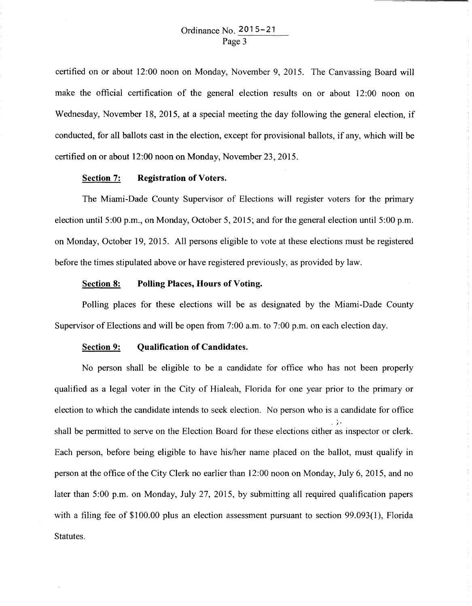certified on or about 12:00 noon on Monday, November 9, 2015. The Canvassing Board will make the official certification of the general election results on or about 12:00 noon on Wednesday, November 18, 2015, at a special meeting the day following the general election, if conducted, for all ballots cast in the election, except for provisional ballots, if any, which will be certified on or about 12:00 noon on Monday, November 23, 2015.

#### **Section 7: Registration of Voters.**

The Miami-Dade County Supervisor of Elections will register voters for the primary election until  $5:00$  p.m., on Monday, October 5, 2015; and for the general election until  $5:00$  p.m. on Monday, October 19, 2015. All persons eligible to vote at these elections must be registered before the times stipulated above or have registered previously, as provided by law.

#### **Section 8: Polling Places, Hours of Voting.**

Polling places for these elections will be as designated by the Miami-Dade County Supervisor of Elections and will be open from  $7:00$  a.m. to  $7:00$  p.m. on each election day.

### **Section 9: Qualification of Candidates.**

No person shall be eligible to be a candidate for office who has not been properly qualified as a legal voter in the City of Hialeah, Florida for one year prior to the primary or election to which the candidate intends to seek election. No person who is a candidate for office . ).  $\mathbb{R}^{\mathbb{Z}_{+}}$ shall be permitted to serve on the Election Board for these elections either as inspector or clerk. Each person, before being eligible to have his/her name placed on the ballot, must qualify in person at the office of the City Clerk no earlier than 12:00 noon on Monday, July 6, 2015, and no later than 5:00 p.m. on Monday, July 27, 2015, by submitting all required qualification papers with a filing fee of \$100.00 plus an election assessment pursuant to section 99.093(1), Florida Statutes.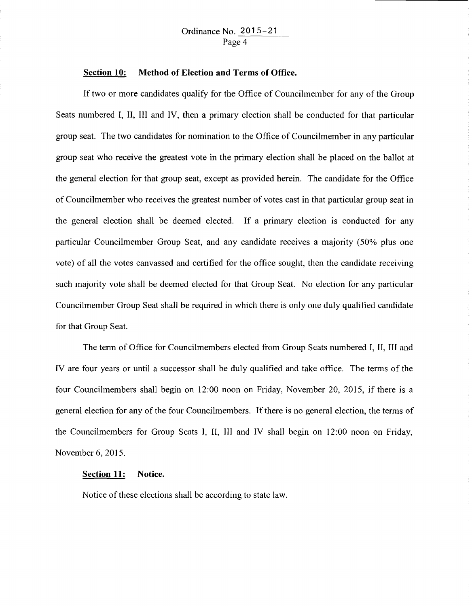#### **Section 10: Method of Election and Terms of Office.**

If two or more candidates qualify for the Office of Councilmember for any of the Group Seats numbered I, II, III and IV, then a primary election shall be conducted for that particular group seat. The two candidates for nomination to the Office of Councilmernber in any particular group seat who receive the greatest vote in the primary election shall be placed on the ballot at the general election for that group seat, except as provided herein. The candidate for the Office of Councilmember who receives the greatest number of votes cast in that particular group seat in the general election shall be deemed elected. If a primary election is conducted for any particular Councilmember Group Seat, and any candidate receives a majority (50% plus one vote) of all the votes canvassed and certified for the office sought, then the candidate receiving such majority vote shall be deemed elected for that Group Seat. No election for any particular Councilmember Group Seat shall be required in which there is only one duly qualified candidate for that Group Seat.

The term of Office for Councilmembers elected from Group Seats numbered I, II, III and IV are four years or until a successor shall be duly qualified and take office. The terms of the four Councilmembers shall begin on 12:00 noon on Friday, November 20, 2015, if there is a general election for any of the four Councilmembers. If there is no general election, the terms of the Councilmembers for Group Seats I, II, III and IV shall begin on 12:00 noon on Friday, November 6, 2015.

#### **Section 11: Notice.**

Notice of these elections shall be according to state law.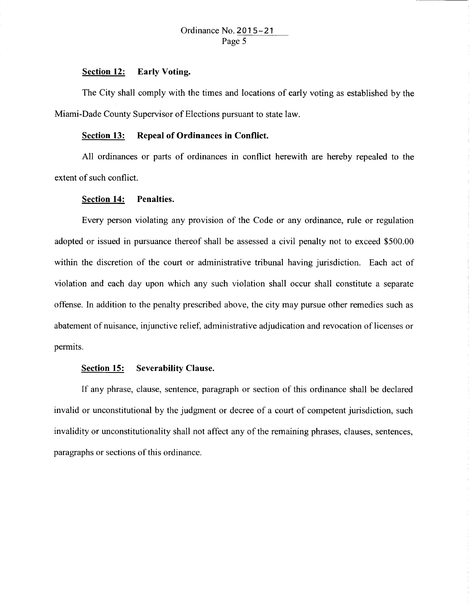#### **Section 12: Early Voting.**

The City shall comply with the times and locations of early voting as established by the Miami-Dade County Supervisor of Elections pursuant to state law.

## **Section 13: Repeal of Ordinances in Conflict.**

All ordinances or parts of ordinances in conflict herewith are hereby repealed to the extent of such conflict.

## **Section 14: Penalties.**

Every person violating any provision of the Code or any ordinance, rule or regulation adopted or issued in pursuance thereof shall be assessed a civil penalty not to exceed \$500.00 within the discretion of the court or administrative tribunal having jurisdiction. Each act of violation and each day upon which any such violation shall occur shall constitute a separate offense. In addition to the penalty prescribed above, the city may pursue other remedies such as abatement of nuisance, injunctive relief, administrative adjudication and revocation of licenses or permits.

#### **Section 15: Severability Clause.**

If any phrase, clause, sentence, paragraph or section of this ordinance shall be declared invalid or unconstitutional by the judgment or decree of a court of competent jurisdiction, such invalidity or unconstitutionality shall not affect any of the remaining phrases, clauses, sentences, paragraphs or sections of this ordinance.